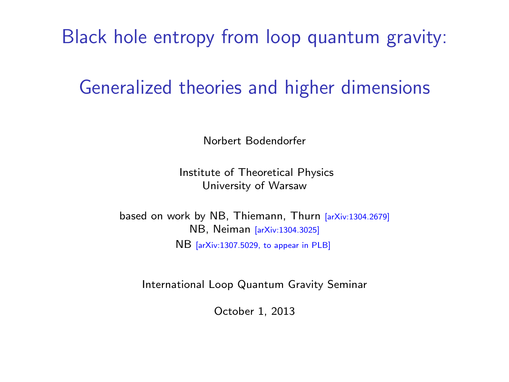Black hole entropy from loop quantum gravity:

## Generalized theories and higher dimensions

Norbert Bodendorfer

Institute of Theoretical Physics University of Warsaw

based on work by NB, Thiemann, Thurn [arXiv:1304.2679] NB, Neiman [arXiv:1304.3025] NB [arXiv:1307.5029, to appear in PLB]

<span id="page-0-0"></span>International Loop Quantum Gravity Seminar

October 1, 2013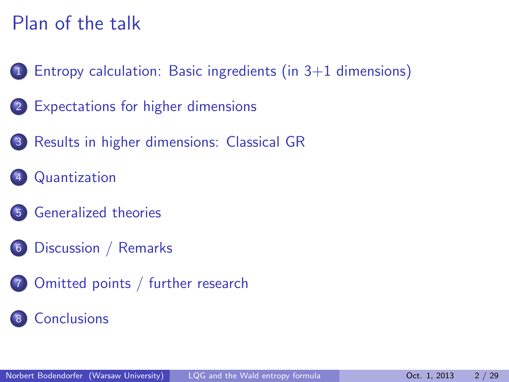# Plan of the talk

- 1 [Entropy calculation: Basic ingredients \(in 3+1 dimensions\)](#page-2-0)
- 2 [Expectations for higher dimensions](#page-5-0)
- 3 [Results in higher dimensions: Classical GR](#page-11-0)
- **[Quantization](#page-15-0)**
- 5 [Generalized theories](#page-19-0)
- 6 [Discussion / Remarks](#page-23-0)
- 7 [Omitted points / further research](#page-25-0)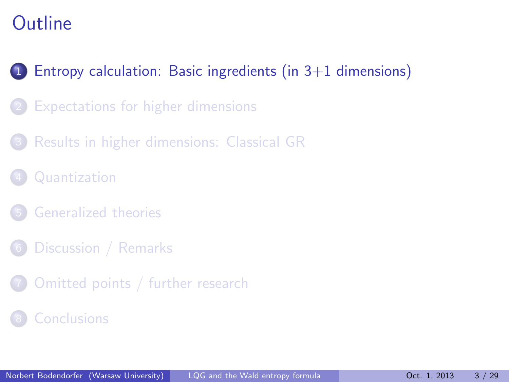## 1 [Entropy calculation: Basic ingredients \(in 3+1 dimensions\)](#page-2-0)

- [Expectations for higher dimensions](#page-5-0)
- 3 [Results in higher dimensions: Classical GR](#page-11-0)
- **[Quantization](#page-15-0)**
- 5 [Generalized theories](#page-19-0)
- [Discussion / Remarks](#page-23-0)
- <span id="page-2-0"></span>[Omitted points / further research](#page-25-0)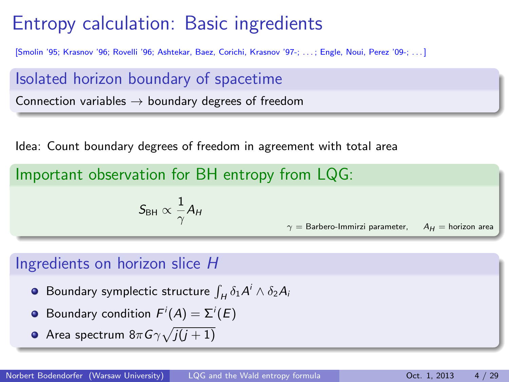# Entropy calculation: Basic ingredients

[Smolin '95; Krasnov '96; Rovelli '96; Ashtekar, Baez, Corichi, Krasnov '97-; . . . ; Engle, Noui, Perez '09-; . . . ]

Isolated horizon boundary of spacetime Connection variables  $\rightarrow$  boundary degrees of freedom

Idea: Count boundary degrees of freedom in agreement with total area

Important observation for BH entropy from LQG:

$$
\mathcal{S}_{\text{BH}} \propto \frac{1}{\gamma} A_H
$$

 $\gamma =$  Barbero-Immirzi parameter,  $A_H =$  horizon area

#### Ingredients on horizon slice H

- Boundary symplectic structure  $\int_H \delta_1 A^i \wedge \delta_2 A_i$
- Boundary condition  $F^i(A) = \Sigma^i(E)$
- Area spectrum 8 $\pi$ G $\gamma\sqrt{j(j+1)}$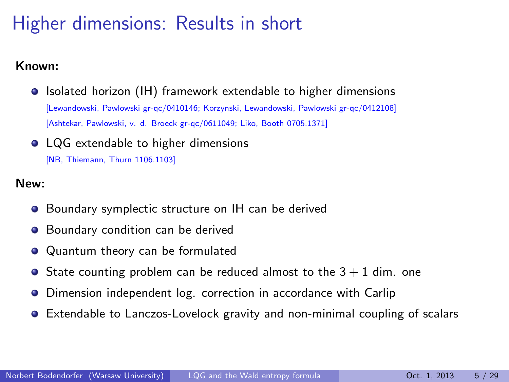# Higher dimensions: Results in short

#### Known:

- **•** Isolated horizon (IH) framework extendable to higher dimensions [Lewandowski, Pawlowski gr-qc/0410146; Korzynski, Lewandowski, Pawlowski gr-qc/0412108] [Ashtekar, Pawlowski, v. d. Broeck gr-qc/0611049; Liko, Booth 0705.1371]
- LQG extendable to higher dimensions [NB, Thiemann, Thurn 1106.1103]

#### New:

- Boundary symplectic structure on IH can be derived
- **•** Boundary condition can be derived
- Quantum theory can be formulated
- $\bullet$  State counting problem can be reduced almost to the  $3 + 1$  dim. one
- Dimension independent log. correction in accordance with Carlip  $\bullet$
- Extendable to Lanczos-Lovelock gravity and non-minimal coupling of scalars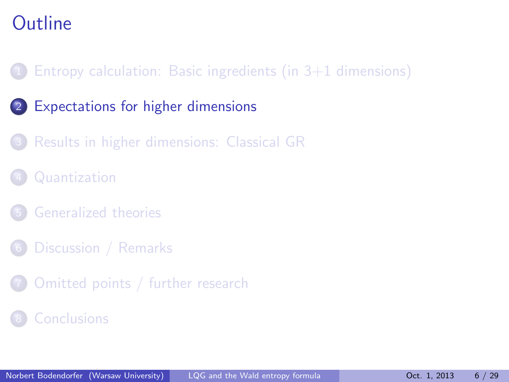## Entropy calculation: Basic ingredients (in  $3+1$  dimensions)

- 2 [Expectations for higher dimensions](#page-5-0)
	- 3 [Results in higher dimensions: Classical GR](#page-11-0)
- **[Quantization](#page-15-0)**
- 5 [Generalized theories](#page-19-0)
- [Discussion / Remarks](#page-23-0)
- <span id="page-5-0"></span>[Omitted points / further research](#page-25-0)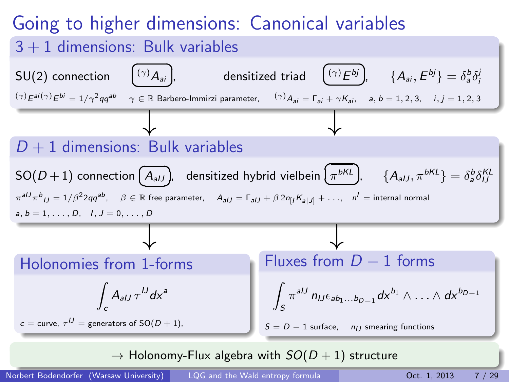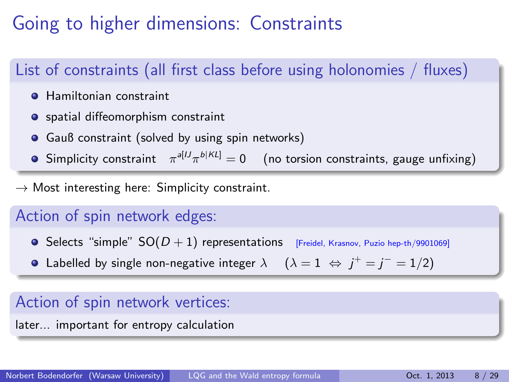# Going to higher dimensions: Constraints

## List of constraints (all first class before using holonomies / fluxes)

- **Hamiltonian constraint**
- **•** spatial diffeomorphism constraint
- **•** Gauß constraint (solved by using spin networks)
- Simplicity constraint  $\begin{array}{cc} \pi^{a [U} \pi^{b |K L]} = 0 & \text{(no torsion constraints, gauge unfixing)} \end{array}$

 $\rightarrow$  Most interesting here: Simplicity constraint.

#### Action of spin network edges:

- **Selects "simple"**  $SO(D + 1)$  representations [Freidel, Krasnov, Puzio hep-th/9901069]
- Labelled by single non-negative integer  $\lambda$   $\quad (\lambda = 1 \; \Leftrightarrow \; j^+ = j^- = 1/2)$

#### Action of spin network vertices:

later... important for entropy calculation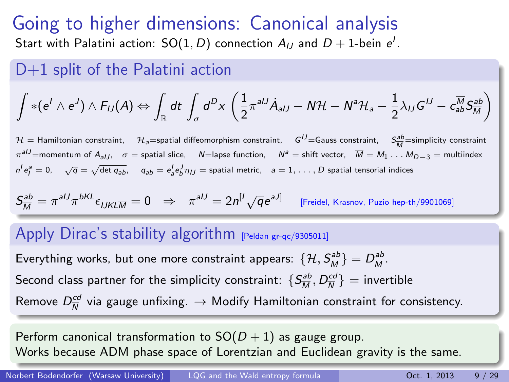# Going to higher dimensions: Canonical analysis

Start with Palatini action:  $\mathsf{SO}(1,D)$  connection  $A_{IJ}$  and  $D+1$ -bein  $e^I.$ 

#### D+1 split of the Palatini action

$$
\int * (e^l \wedge e^J) \wedge F_{IJ}(A) \Leftrightarrow \int_{\mathbb{R}} dt \, \int_{\sigma} d^D x \, \left( \frac{1}{2} \pi^{aIJ} \dot{A}_{aIJ} - N \mathcal{H} - N^a \mathcal{H}_a - \frac{1}{2} \lambda_{IJ} G^{IJ} - c_{ab}^{M} S_{M}^{ab} \right)
$$

 $\mathcal{H} =$  Hamiltonian constraint,  $\mathcal{H}_a$ =spatial diffeomorphism constraint,  $G^U$ =Gauss constraint,  $S^M_{~M}$ =simplicity constraint  $\pi^{aIJ}$ =momentum of  $A_{aIJ}$ ,  $\sigma$  = spatial slice,  $N=$ lapse function,  $N^a$  = shift vector,  $\overline{M} = M_1 \dots M_{D-3}$  = multiindex  $n^l e_l^a = 0$ ,  $\sqrt{q} = \sqrt{\det q_{ab}}$ ,  $q_{ab} = e_a^l e_b^j \eta_{IJ} =$  spatial metric,  $a = 1, \ldots, D$  spatial tensorial indices

$$
S_{\overline{M}}^{ab}=\pi^{alJ}\pi^{bKL}\epsilon_{IJKL\overline{M}}=0\quad\Rightarrow\quad \pi^{alJ}=2n^{[I}\sqrt{q}e^{aJ]}\qquad\text{[Freidel, Krasnov, Puzio hep-th/9901069]}
$$

#### Apply Dirac's stability algorithm [Peldan gr-qc/9305011]

Everything works, but one more constraint appears:  $\{\mathcal{H},\mathcal{S}_{\overline{M}}^{ab}\}=D_{\overline{M}}^{\underline{ab}}.$ Second class partner for the simplicity constraint:  $\{S_{\overline{M}}^{ab},D_{\overline{N}}^{cd}\} =$  invertible Remove  $D_{\overline{\mathcal{N}}}^{cd}$  via gauge unfixing.  $\rightarrow$  Modify Hamiltonian constraint for consistency.

Perform canonical transformation to  $SO(D+1)$  as gauge group. Works because ADM phase space of Lorentzian and Euclidean gravity is the same.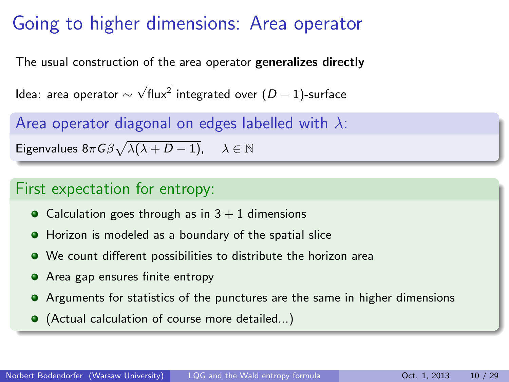# Going to higher dimensions: Area operator

The usual construction of the area operator generalizes directly

ldea: area operator  $\sim$  $\sqrt{\mathsf{flux}^2}$  integrated over  $(D-1)$ -surface

Area operator diagonal on edges labelled with  $\lambda$ :

Eigenvalues  $8\pi G \beta \sqrt{\lambda(\lambda+D-1)}$ ,  $\lambda\in\mathbb{N}$ 

#### First expectation for entropy:

- Calculation goes through as in  $3 + 1$  dimensions
- Horizon is modeled as a boundary of the spatial slice
- We count different possibilities to distribute the horizon area
- **•** Area gap ensures finite entropy
- Arguments for statistics of the punctures are the same in higher dimensions
- (Actual calculation of course more detailed...)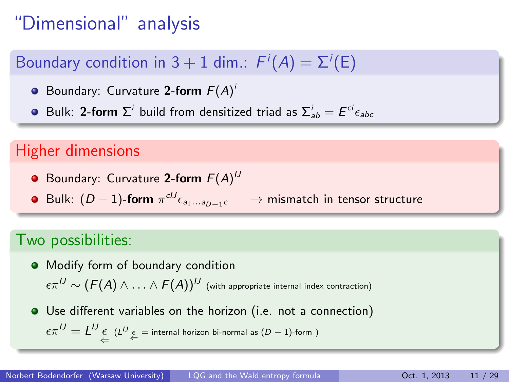# "Dimensional" analysis

## Boundary condition in 3  $+$  1 dim.:  $F^i(A) = \Sigma^i(\mathsf{E})$

- Boundary: Curvature 2-form  $F(A)^{i}$
- Bulk: 2-form  $\Sigma^i$  build from densitized triad as  $\Sigma^i_{ab} = E^{ci} \epsilon_{abc}$

### Higher dimensions

- Boundary: Curvature 2-form  $F(A)^U$
- **•** Bulk:  $(D-1)$ -form  $\pi^{cU} \epsilon_{a_1...a_{D-1}c}$ → mismatch in tensor structure

#### Two possibilities:

- $\bullet$  Modify form of boundary condition  $\epsilon \pi^{IJ} \sim (F(A) \wedge \ldots \wedge F(A))^{IJ}$  (with appropriate internal index contraction)
- Use different variables on the horizon (i.e. not a connection)  $\epsilon \pi^{IJ} = L^{IJ} \underset{\Leftarrow}{\epsilon} \ \ (L^{IJ} \underset{\Leftarrow}{\epsilon} = \text{internal horizon bi-normal as } (D-1)\text{-form } )$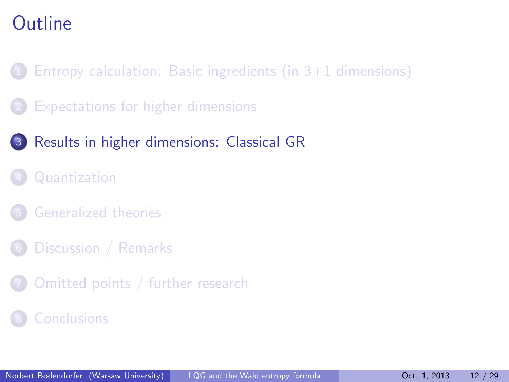- Entropy calculation: Basic ingredients (in  $3+1$  dimensions)
- 2 [Expectations for higher dimensions](#page-5-0)
- 3 [Results in higher dimensions: Classical GR](#page-11-0)
	- **[Quantization](#page-15-0)**
	- 5 [Generalized theories](#page-19-0)
- [Discussion / Remarks](#page-23-0)
- [Omitted points / further research](#page-25-0)
- <span id="page-11-0"></span>**[Conclusions](#page-27-0)**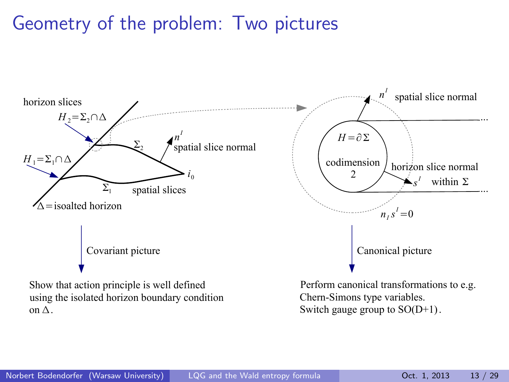## Geometry of the problem: Two pictures

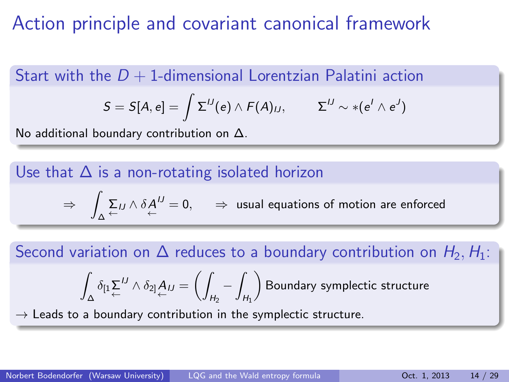# Action principle and covariant canonical framework

Start with the  $D + 1$ -dimensional Lorentzian Palatini action

$$
S = S[A, e] = \int \Sigma^{IJ}(e) \wedge F(A)_{IJ}, \qquad \Sigma^{IJ} \sim *(e^I \wedge e^J)
$$

No additional boundary contribution on ∆.

Use that  $\Delta$  is a non-rotating isolated horizon

$$
\Rightarrow \quad \int_{\Delta} \sum_{\leftarrow} L J \wedge \delta A^{IJ}_{\leftarrow} = 0, \qquad \Rightarrow \text{ usual equations of motion are enforced}
$$

Second variation on  $\Delta$  reduces to a boundary contribution on  $H_2, H_1$ :

$$
\int_{\Delta}\delta_{\left[1\right.}\sum_{\leftarrow}^{IJ}\wedge\delta_{2]}\underbrace{A_{IJ}}_{\leftarrow}=\left(\int_{H_2}-\int_{H_1}\right)\text{Boundary symplectic structure}
$$

 $\rightarrow$  Leads to a boundary contribution in the symplectic structure.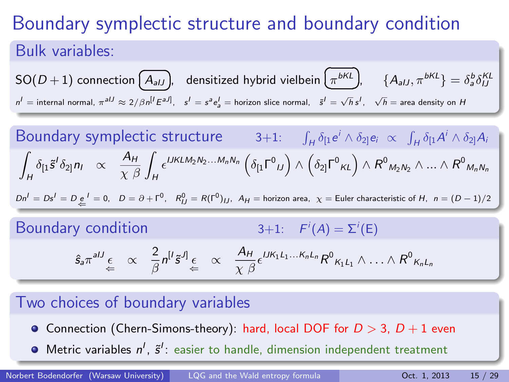# Boundary symplectic structure and boundary condition Bulk variables:

SO(D + 1) connection 
$$
(A_{aJJ})
$$
, densitized hybrid vielbein  $(\pi^{bKL})$ ,  $\{A_{aJ}, \pi^{bKL}\} = \delta_a^b \delta_{IJ}^{KL}$   
\n $n' =$  internal normal,  $\pi^{aJJ} \approx 2/\beta n^{[l} \epsilon^{aJ]}$ ,  $s^l = s^a e_a^l$  = horizon slice normal,  $\tilde{s}^l = \sqrt{h} s^l$ ,  $\sqrt{h}$  = area density on H

Boundary symplectic structure 
$$
3+1
$$
:  $\int_H \delta_{[1}e^i \wedge \delta_{2]}e_i \propto \int_H \delta_{[1}A^i \wedge \delta_{2]}A_i$   
\n $\int_H \delta_{[1}\tilde{s}^i\delta_{2]}n_l \propto \frac{A_H}{\chi \beta} \int_H \epsilon^{UKLM_2N_2...M_nN_n} \left(\delta_{[1}\Gamma^0 u\right) \wedge \left(\delta_{2]} \Gamma^0 \kappa L\right) \wedge R^0 M_2N_2 \wedge ... \wedge R^0 M_nN_n$   
\n $dn^i = Ds^i = D_{\frac{e}{m}} = 0, \quad D = \partial + \Gamma^0, \quad R_{IJ}^0 = R(\Gamma^0)_{IJ}, \quad A_H = \text{horizon area}, \quad \chi = \text{Euler characteristic of } H, \quad n = (D-1)/2$   
\nBoundary condition  $3+1$ :  $F^i(A) = \Sigma^i(E)$   
\n $\hat{s}_a \pi^{aIJ} \underset{\leftarrow}{\epsilon} \propto \frac{2}{\beta} n^{[i} \tilde{s}^J] \underset{\leftarrow}{\epsilon} \propto \frac{A_H}{\chi \beta} \epsilon^{IJK_1L_1...K_nL_n} R^0 K_1L_1 \wedge ... \wedge R^0 K_nL_n$ 

#### Two choices of boundary variables

- Connection (Chern-Simons-theory): hard, local DOF for  $D > 3$ ,  $D + 1$  even
- Metric variables  $n^l$ ,  $\tilde{s}^l$ : easier to handle, dimension independent treatment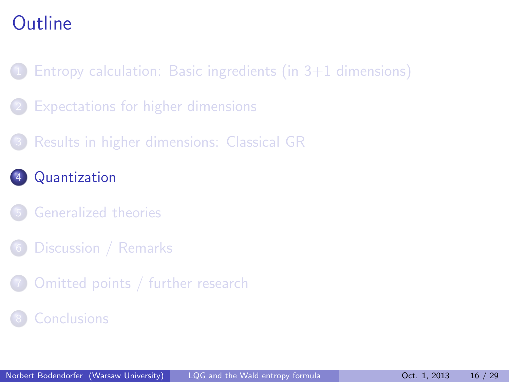- Entropy calculation: Basic ingredients (in  $3+1$  dimensions)
- [Expectations for higher dimensions](#page-5-0)
- 3 [Results in higher dimensions: Classical GR](#page-11-0)
- **[Quantization](#page-15-0)**
- 5 [Generalized theories](#page-19-0)
- [Discussion / Remarks](#page-23-0)
- <span id="page-15-0"></span>[Omitted points / further research](#page-25-0)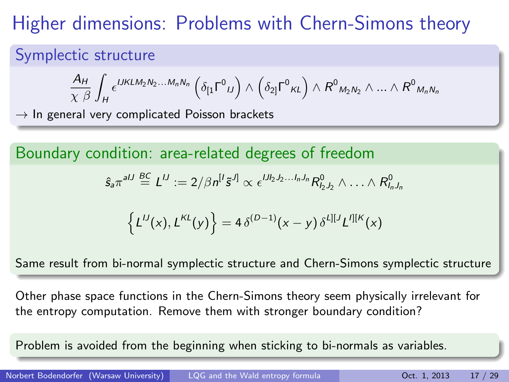# Higher dimensions: Problems with Chern-Simons theory

## Symplectic structure

$$
\frac{A_H}{\chi \; \beta} \int_H \epsilon^{IJKLM_2N_2...M_nN_n} \left( \delta_{[1} \Gamma^0{}_{IJ} \right) \wedge \left( \delta_{2]} \Gamma^0{}_{KL} \right) \wedge R^0{}_{M_2N_2} \wedge ... \wedge R^0{}_{M_nN_n}
$$

 $\rightarrow$  In general very complicated Poisson brackets

Boundary condition: area-related degrees of freedom

$$
\hat{s}_a\pi^{aIJ}\stackrel{BC}{=}\mathcal{L}^{IJ}:=2/\beta n^{[J}\tilde{s}^{J]}\propto \epsilon^{IJl_2J_2...l_nJ_n}R_{l_2J_2}^0\wedge\ldots\wedge R_{l_nJ_n}^0
$$

$$
\left\{L^{IJ}(x), L^{KL}(y)\right\} = 4\,\delta^{(D-1)}(x-y)\,\delta^{L][J}L'^{][K}(x)
$$

Same result from bi-normal symplectic structure and Chern-Simons symplectic structure

Other phase space functions in the Chern-Simons theory seem physically irrelevant for the entropy computation. Remove them with stronger boundary condition?

Problem is avoided from the beginning when sticking to bi-normals as variables.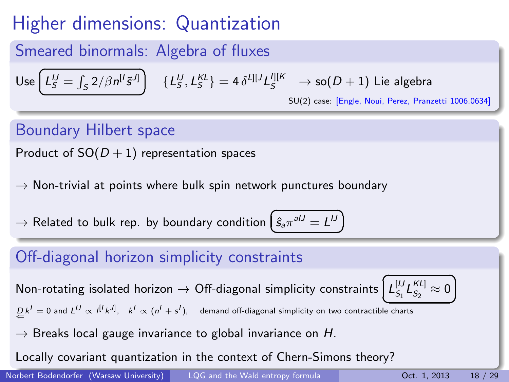# Higher dimensions: Quantization

## Smeared binormals: Algebra of fluxes

Use 
$$
\left(L_S^U = \int_S 2/\beta n^{[l]}\tilde{s}^{J]}\right)
$$
  $\{L_S^U, L_S^{KL}\} = 4 \delta^{L][J} L_S^{J][K} \rightarrow \text{so}(D+1)$  Lie algebra  
SU(2) case: [Engle, Noul, Perse, Pranz

SU(2) case: [Engle, Noui, Perez, Pranzetti 1006.0634]

☎  $^{\prime}$ 

## Boundary Hilbert space

Product of  $SO(D + 1)$  representation spaces

 $\rightarrow$  Non-trivial at points where bulk spin network punctures boundary

 $\rightarrow$  Related to bulk rep. by boundary condition  $\epsilon$  $\oint_{a} \hat{\pi}^{aIJ} = L^{IJ}$ 

### Off-diagonal horizon simplicity constraints

Non-rotating isolated horizon  $\rightarrow$  Off-diagonal simplicity constraints

$$
\left(\underbrace{L_{S_1}^{[U}L_{S_2}^{KL}]}\approx 0\right)
$$

 $\underline{D} k^I = 0$  and  $L^{IJ} \propto l^{[I} k^{J]}, \quad k^I \propto (n^I + s^I),$  demand off-diagonal simplicity on two contractible charts

 $\rightarrow$  Breaks local gauge invariance to global invariance on H.

Locally covariant quantization in the context of Chern-Simons theory?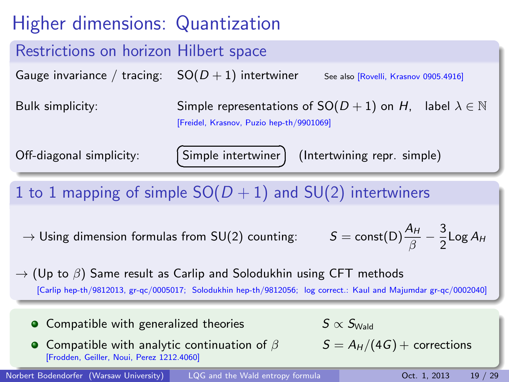# Higher dimensions: Quantization

## Restrictions on horizon Hilbert space

Gauge invariance / tracing:  $SO(D+1)$  intertwiner See also [Rovelli, Krasnov 0905.4916]

Bulk simplicity: Simple representations of  $SO(D+1)$  on H, label  $\lambda \in \mathbb{N}$ [Freidel, Krasnov, Puzio hep-th/9901069]

> ☎  $^{\prime}$

Off-diagonal simplicity:

Simple intertwiner ✝

(Intertwining repr. simple)

1 to 1 mapping of simple  $SO(D + 1)$  and  $SU(2)$  intertwiners

 $\rightarrow$  Using dimension formulas from SU(2) counting:

$$
\delta = \text{const(D)} \frac{A_H}{\beta} - \frac{3}{2} \text{Log } A_H
$$

 $\rightarrow$  (Up to  $\beta$ ) Same result as Carlip and Solodukhin using CFT methods [Carlip hep-th/9812013, gr-qc/0005017; Solodukhin hep-th/9812056; log correct.: Kaul and Majumdar gr-qc/0002040]

- Compatible with generalized theories  $S \propto S_{\text{Wald}}$
- **O** Compatible with analytic continuation of  $\beta$   $S = A_H/(4G) +$  corrections [Frodden, Geiller, Noui, Perez 1212.4060]

Norbert Bodendorfer (Warsaw University) [LQG and the Wald entropy formula](#page-0-0) Det. 1, 2013 19 / 29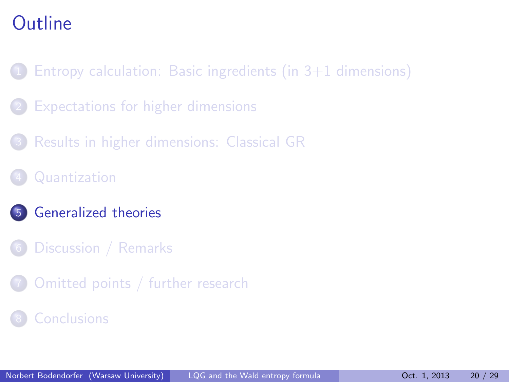- Entropy calculation: Basic ingredients (in  $3+1$  dimensions)
- [Expectations for higher dimensions](#page-5-0)
- 3 [Results in higher dimensions: Classical GR](#page-11-0)
- **[Quantization](#page-15-0)**
- 5 [Generalized theories](#page-19-0)
- [Discussion / Remarks](#page-23-0)
- <span id="page-19-0"></span>[Omitted points / further research](#page-25-0)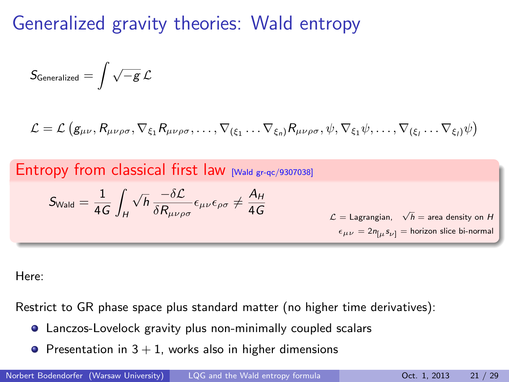## Generalized gravity theories: Wald entropy

$$
S_{\text{Generalized}} = \int \sqrt{-g} \, \mathcal{L}
$$

$$
\mathcal{L} = \mathcal{L} \left( g_{\mu\nu}, R_{\mu\nu\rho\sigma}, \nabla_{\xi_1} R_{\mu\nu\rho\sigma}, \dots, \nabla_{(\xi_1} \dots \nabla_{\xi_n)} R_{\mu\nu\rho\sigma}, \psi, \nabla_{\xi_1} \psi, \dots, \nabla_{(\xi_l} \dots \nabla_{\xi_l)} \psi \right)
$$

Entropy from classical first law [Wald gr-qc/9307038]

$$
S_{\text{Wald}} = \frac{1}{4G} \int_H \sqrt{h}\, \frac{-\delta \mathcal{L}}{\delta R_{\mu\nu\rho\sigma}} \epsilon_{\mu\nu} \epsilon_{\rho\sigma} \neq \frac{A_H}{4G}
$$

4*G*  
\n
$$
\mathcal{L} = \text{Lagrangian}, \quad \sqrt{h} = \text{area density on } H
$$
  
\n $\epsilon_{\mu\nu} = 2n_{[\mu} s_{\nu]} = \text{horizon slice bi-normal}$ 

Here:

Restrict to GR phase space plus standard matter (no higher time derivatives):

- Lanczos-Lovelock gravity plus non-minimally coupled scalars
- **•** Presentation in  $3 + 1$ , works also in higher dimensions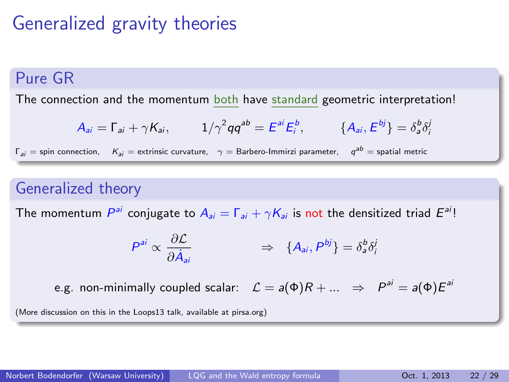# Generalized gravity theories

### Pure GR

The connection and the momentum both have standard geometric interpretation!

$$
A_{ai} = \Gamma_{ai} + \gamma K_{ai}, \qquad 1/\gamma^2 q q^{ab} = E^{ai} E_i^b, \qquad \{A_{ai}, E^{bj}\} = \delta_a^b \delta_i^j
$$

 $\Gamma_{ai} =$  spin connection,  $K_{ai} =$  extrinsic curvature,  $\gamma =$  Barbero-Immirzi parameter,  $q^{ab} =$  spatial metric

#### Generalized theory

The momentum  $P^{ai}$  conjugate to  $A_{ai}=\Gamma_{ai}+\gamma K_{ai}$  is not the densitized triad  $E^{ai}!$ 

$$
P^{ai} \propto \frac{\partial \mathcal{L}}{\partial \dot{A}_{ai}} \qquad \qquad \Rightarrow \quad \{A_{ai}, P^{bj}\} = \delta^b_a \delta^i_i
$$

e.g. non-minimally coupled scalar:  $\mathcal{L}=a(\Phi)R+... \;\; \Rightarrow \;\; P^{ai}=a(\Phi)E^{ai}$ 

(More discussion on this in the Loops13 talk, available at pirsa.org)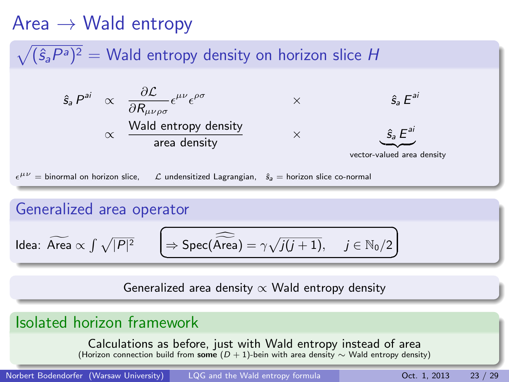## $Area \rightarrow$  Wald entropy

## $\sqrt{(\hat{s}_a P^a)^2} =$  Wald entropy density on horizon slice H

$$
\hat{s}_a P^{ai} \propto \frac{\partial \mathcal{L}}{\partial R_{\mu\nu\rho\sigma}} \epsilon^{\mu\nu} \epsilon^{\rho\sigma} \times \hat{s}_a E^{ai}
$$
  
 
$$
\propto \frac{\text{Wald entropy density}}{\text{area density}} \times \underbrace{\hat{s}_a E^{ai}}_{\text{vector-valued area density}}
$$
  

$$
\mu\nu = \text{binormal on horizon slice}, \quad \mathcal{L} \text{ undersitized Lagrangian}, \quad \hat{s}_a = \text{horizon slice co-normal}
$$

#### Generalized area operator

 $\epsilon$ 

$$
\text{Idea: } \widetilde{\text{Area}} \propto \int \sqrt{|P|^2} \qquad \boxed{\Rightarrow \text{Spec}(\widehat{\text{Area}}) = \gamma \sqrt{j(j+1)}, \quad j \in \mathbb{N}_0/2}
$$

Generalized area density  $\propto$  Wald entropy density

### Isolated horizon framework

Calculations as before, just with Wald entropy instead of area (Horizon connection build from some  $(D + 1)$ -bein with area density ∼ Wald entropy density)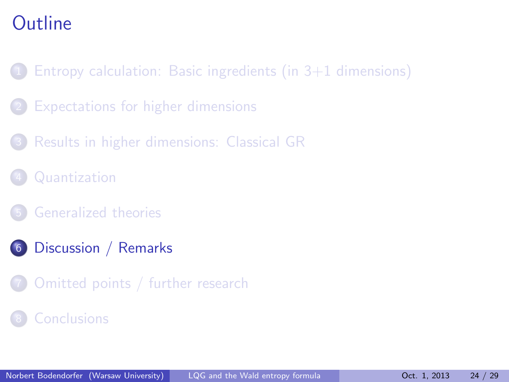- Entropy calculation: Basic ingredients (in  $3+1$  dimensions)
- [Expectations for higher dimensions](#page-5-0)
- 3 [Results in higher dimensions: Classical GR](#page-11-0)
- **[Quantization](#page-15-0)**
- 5 [Generalized theories](#page-19-0)
- 6 [Discussion / Remarks](#page-23-0)
- <span id="page-23-0"></span>[Omitted points / further research](#page-25-0)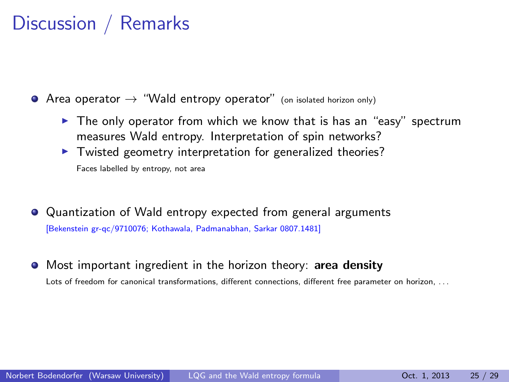## Discussion / Remarks

 $\bullet$  Area operator  $\rightarrow$  "Wald entropy operator" (on isolated horizon only)

- $\triangleright$  The only operator from which we know that is has an "easy" spectrum measures Wald entropy. Interpretation of spin networks?
- $\blacktriangleright$  Twisted geometry interpretation for generalized theories? Faces labelled by entropy, not area
- Quantization of Wald entropy expected from general arguments [Bekenstein gr-qc/9710076; Kothawala, Padmanabhan, Sarkar 0807.1481]
- **•** Most important ingredient in the horizon theory: area density Lots of freedom for canonical transformations, different connections, different free parameter on horizon, ...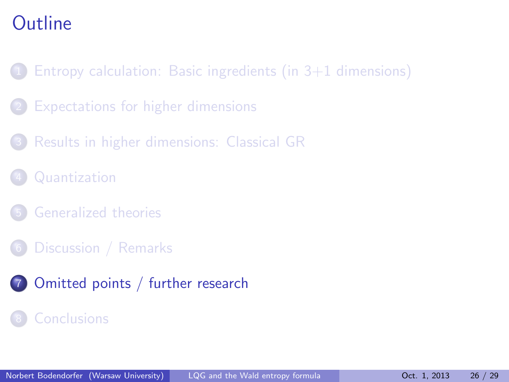- Entropy calculation: Basic ingredients (in  $3+1$  dimensions)
- [Expectations for higher dimensions](#page-5-0)
- 3 [Results in higher dimensions: Classical GR](#page-11-0)
- **[Quantization](#page-15-0)**
- 5 [Generalized theories](#page-19-0)
- [Discussion / Remarks](#page-23-0)
- <span id="page-25-0"></span>7 [Omitted points / further research](#page-25-0)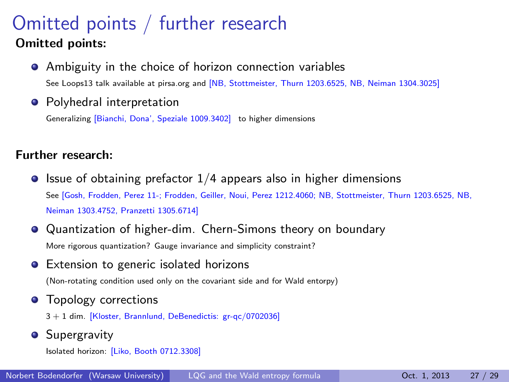## Omitted points / further research Omitted points:

Ambiguity in the choice of horizon connection variables

See Loops13 talk available at pirsa.org and [NB, Stottmeister, Thurn 1203.6525, NB, Neiman 1304.3025]

• Polyhedral interpretation

Generalizing [Bianchi, Dona', Speziale 1009.3402] to higher dimensions

#### Further research:

 $\bullet$  Issue of obtaining prefactor  $1/4$  appears also in higher dimensions See [Gosh, Frodden, Perez 11-; Frodden, Geiller, Noui, Perez 1212.4060; NB, Stottmeister, Thurn 1203.6525, NB, Neiman 1303.4752, Pranzetti 1305.6714]

Quantization of higher-dim. Chern-Simons theory on boundary More rigorous quantization? Gauge invariance and simplicity constraint?

**•** Extension to generic isolated horizons

(Non-rotating condition used only on the covariant side and for Wald entorpy)

**•** Topology corrections

3 + 1 dim. [Kloster, Brannlund, DeBenedictis: gr-qc/0702036]

**•** Supergravity

Isolated horizon: [Liko, Booth 0712.3308]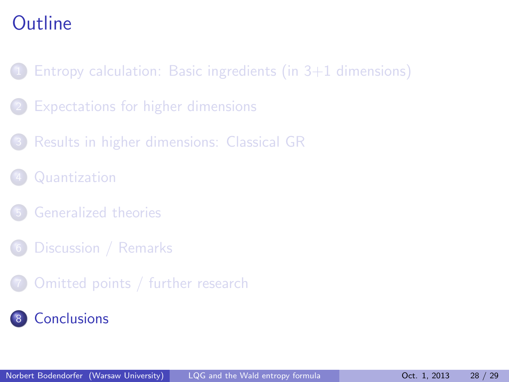- Entropy calculation: Basic ingredients (in  $3+1$  dimensions)
- [Expectations for higher dimensions](#page-5-0)
- 3 [Results in higher dimensions: Classical GR](#page-11-0)
- **[Quantization](#page-15-0)**
- 5 [Generalized theories](#page-19-0)
- [Discussion / Remarks](#page-23-0)
- <span id="page-27-0"></span>7 [Omitted points / further research](#page-25-0)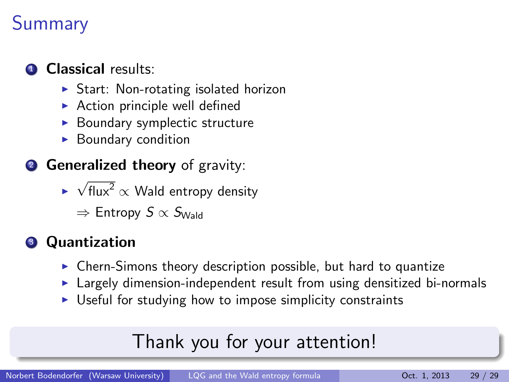# **Summary**

## Classical results:

- $\triangleright$  Start: Non-rotating isolated horizon
- $\triangleright$  Action principle well defined
- Boundary symplectic structure
- $\blacktriangleright$  Boundary condition
- **2 Generalized theory** of gravity:
	- ►  $\sqrt{\text{flux}^2} \propto$  Wald entropy density
		- $\Rightarrow$  Entropy  $S \propto S_{\text{Wald}}$

## **3** Quantization

- $\triangleright$  Chern-Simons theory description possible, but hard to quantize
- $\blacktriangleright$  Largely dimension-independent result from using densitized bi-normals
- $\triangleright$  Useful for studying how to impose simplicity constraints

# Thank you for your attention!